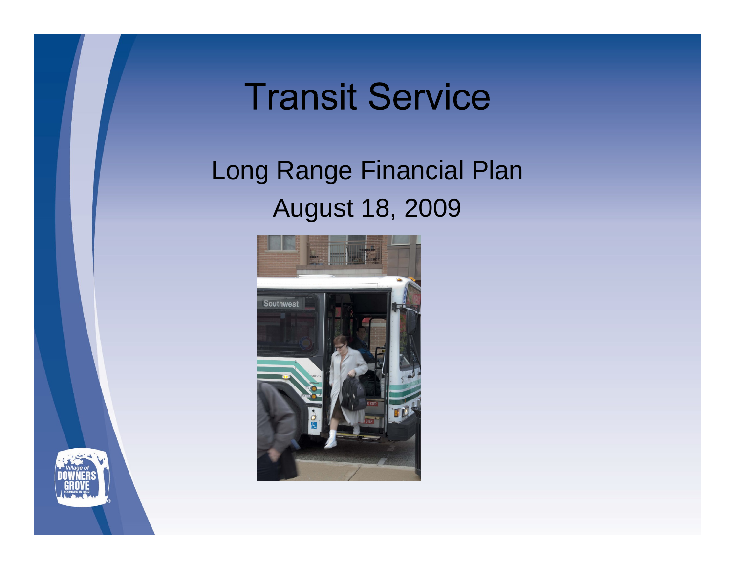# **Transit Service**

## Long Range Financial Plan August 18, 2009



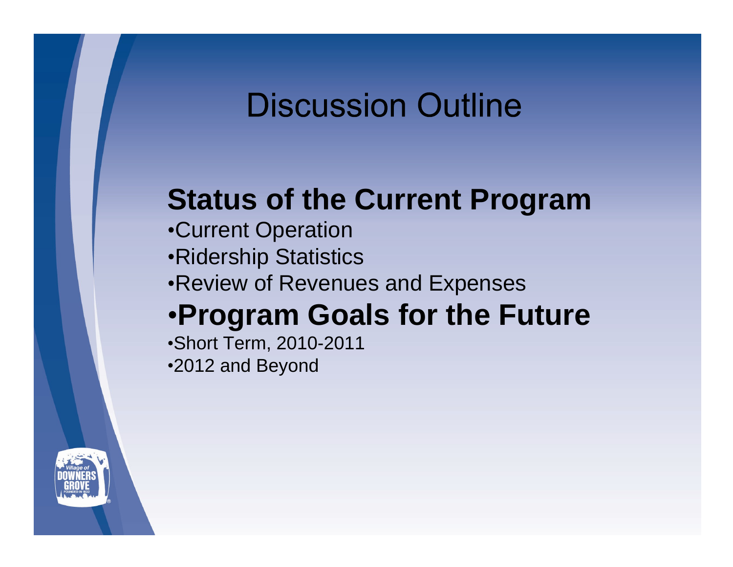## **Discussion Outline**

## **Status of the Current Program**

- Current Operation
- Ridership Statistics
- Review of Revenues and Expenses
- **Program Goals for the Future**

Short Term, 2010-2011 2012 and Beyond

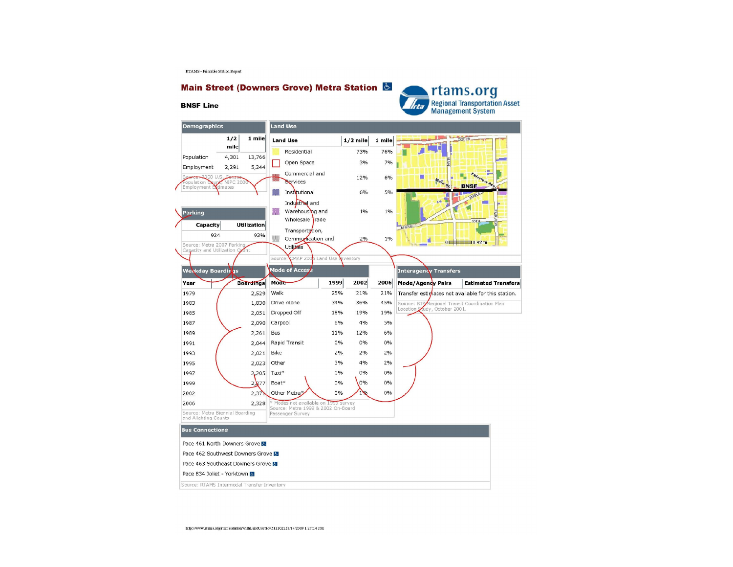RTAMS - Printable Station Report

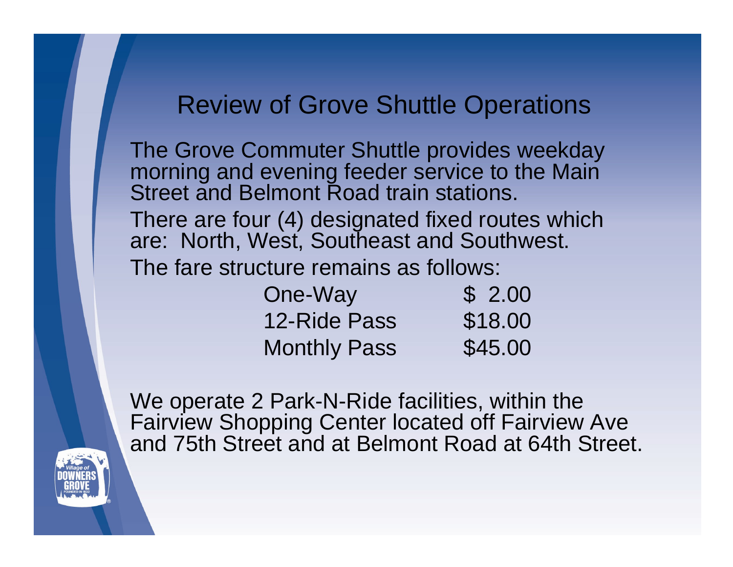#### Review of Grove Shuttle Operations

The Grove Commuter Shuttle provides weekday morning and evening feeder service to the Main Street and Belmont Road train stations.

There are four (4) designated fixed routes which are: North, West, Southeast and Southwest.

The fare structure remains as follows:

| One-Way             | 2.00    |  |  |  |
|---------------------|---------|--|--|--|
| 12-Ride Pass        | \$18.00 |  |  |  |
| <b>Monthly Pass</b> | \$45.00 |  |  |  |

We operate 2 Park-N-Ride facilities, within the Fairview Shopping Center located off Fairview Ave and 75th Street and at Belmont Road at 64th Street.

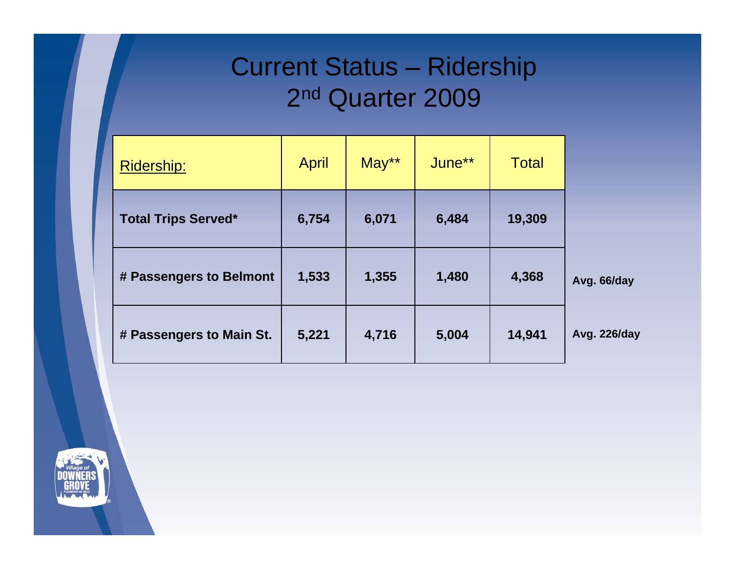#### Current Status - Ridership 2 nd Quarter 2009

| Ridership:                 | April | May** | June** | <b>Total</b> |                     |
|----------------------------|-------|-------|--------|--------------|---------------------|
| <b>Total Trips Served*</b> | 6,754 | 6,071 | 6,484  | 19,309       |                     |
| # Passengers to Belmont    | 1,533 | 1,355 | 1,480  | 4,368        | Avg. 66/day         |
| # Passengers to Main St.   | 5,221 | 4,716 | 5,004  | 14,941       | <b>Avg. 226/day</b> |

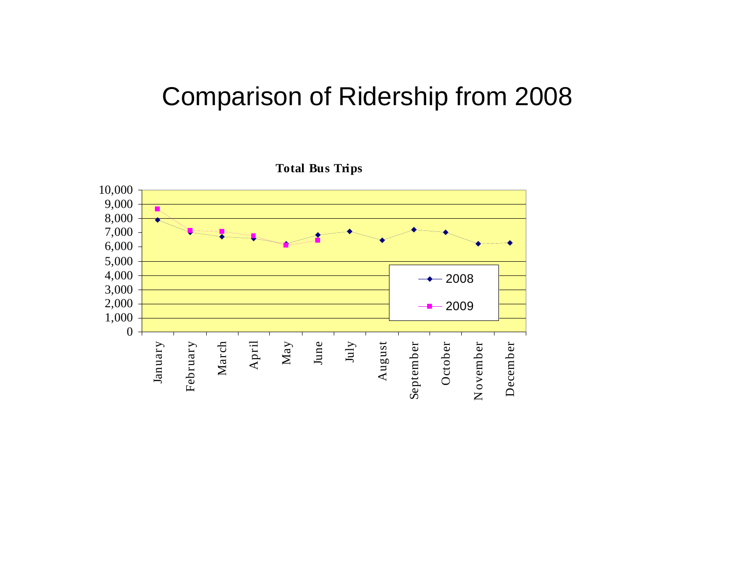#### Comparison of Ridership from 2008

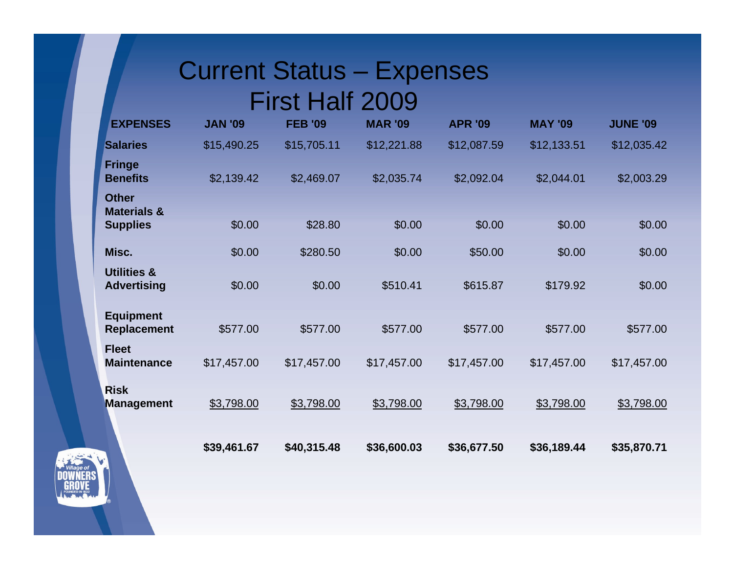# Current Status - Expenses

#### First Half 2009

| <b>EXPENSES</b>                              | <b>JAN '09</b> | <b>FEB '09</b> | <b>MAR '09</b> | <b>APR '09</b> | <b>MAY '09</b> | <b>JUNE '09</b> |
|----------------------------------------------|----------------|----------------|----------------|----------------|----------------|-----------------|
| <b>Salaries</b>                              | \$15,490.25    | \$15,705.11    | \$12,221.88    | \$12,087.59    | \$12,133.51    | \$12,035.42     |
| Fringe<br><b>Benefits</b>                    | \$2,139.42     | \$2,469.07     | \$2,035.74     | \$2,092.04     | \$2,044.01     | \$2,003.29      |
| Other<br><b>Materials &amp;</b>              |                |                |                |                |                |                 |
| <b>Supplies</b>                              | \$0.00         | \$28.80        | \$0.00         | \$0.00         | \$0.00         | \$0.00          |
| Misc.                                        | \$0.00         | \$280.50       | \$0.00         | \$50.00        | \$0.00         | \$0.00          |
| <b>Utilities &amp;</b><br><b>Advertising</b> | \$0.00         | \$0.00         | \$510.41       | \$615.87       | \$179.92       | \$0.00          |
| Equipment<br>Replacement                     | \$577.00       | \$577.00       | \$577.00       | \$577.00       | \$577.00       | \$577.00        |
| <b>Fleet</b><br><b>Maintenance</b>           | \$17,457.00    | \$17,457.00    | \$17,457.00    | \$17,457.00    | \$17,457.00    | \$17,457.00     |
| Risk<br><b>Management</b>                    | \$3,798.00     | \$3,798.00     | \$3,798.00     | \$3,798.00     | \$3,798.00     | \$3,798.00      |
|                                              | \$39,461.67    | \$40,315.48    | \$36,600.03    | \$36,677.50    | \$36,189.44    | \$35,870.71     |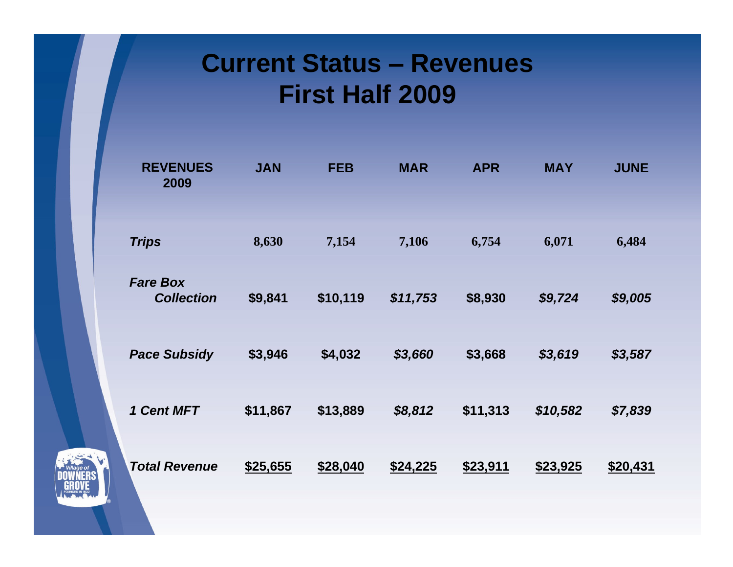#### **Current Status - Revenues First Half 2009**

| <b>REVENUES</b><br>2009              | <b>JAN</b> | <b>FEB</b> | <b>MAR</b> | <b>APR</b> | <b>MAY</b> | <b>JUNE</b> |
|--------------------------------------|------------|------------|------------|------------|------------|-------------|
| <b>Trips</b>                         | 8,630      | 7,154      | 7,106      | 6,754      | 6,071      | 6,484       |
| <b>Fare Box</b><br><b>Collection</b> | \$9,841    | \$10,119   | \$11,753   | \$8,930    | \$9,724    | \$9,005     |
| <b>Pace Subsidy</b>                  | \$3,946    | \$4,032    | \$3,660    | \$3,668    | \$3,619    | \$3,587     |
| 1 Cent MFT                           | \$11,867   | \$13,889   | \$8,812    | \$11,313   | \$10,582   | \$7,839     |
| <b>Total Revenue</b>                 | \$25,655   | \$28,040   | \$24,225   | \$23,911   | \$23,925   | \$20,431    |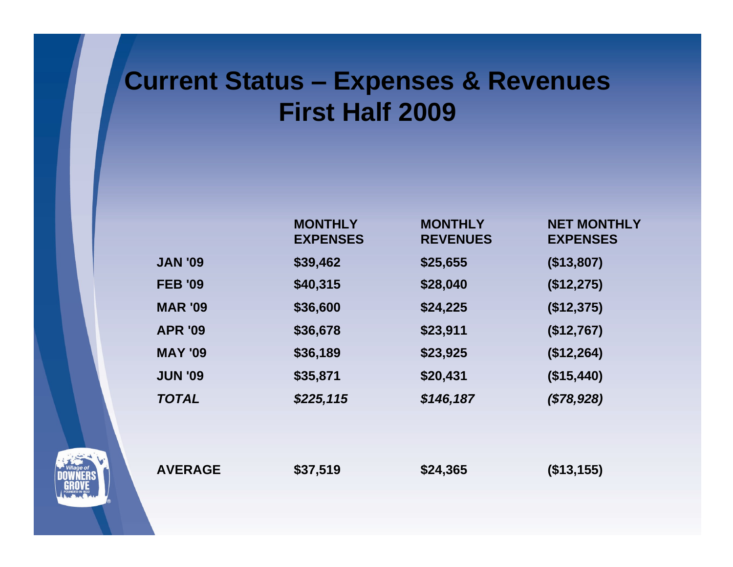### **Current Status Expenses & Revenues First Half 2009**

|                | <b>MONTHLY</b><br><b>EXPENSES</b> | <b>MONTHLY</b><br><b>REVENUES</b> | <b>NET MONTHLY</b><br><b>EXPENSES</b> |
|----------------|-----------------------------------|-----------------------------------|---------------------------------------|
| <b>JAN '09</b> | \$39,462                          | \$25,655                          | (\$13,807)                            |
| <b>FEB '09</b> | \$40,315                          | \$28,040                          | (\$12,275)                            |
| <b>MAR '09</b> | \$36,600                          | \$24,225                          | (\$12,375)                            |
| <b>APR '09</b> | \$36,678                          | \$23,911                          | (\$12,767)                            |
| <b>MAY '09</b> | \$36,189                          | \$23,925                          | (\$12,264)                            |
| <b>JUN '09</b> | \$35,871                          | \$20,431                          | (\$15,440)                            |
| <b>TOTAL</b>   | \$225,115                         | \$146,187                         | (\$78,928)                            |
|                |                                   |                                   |                                       |
|                |                                   |                                   |                                       |

**AVERAGE \$37,519 \$24,365 (\$13,155)**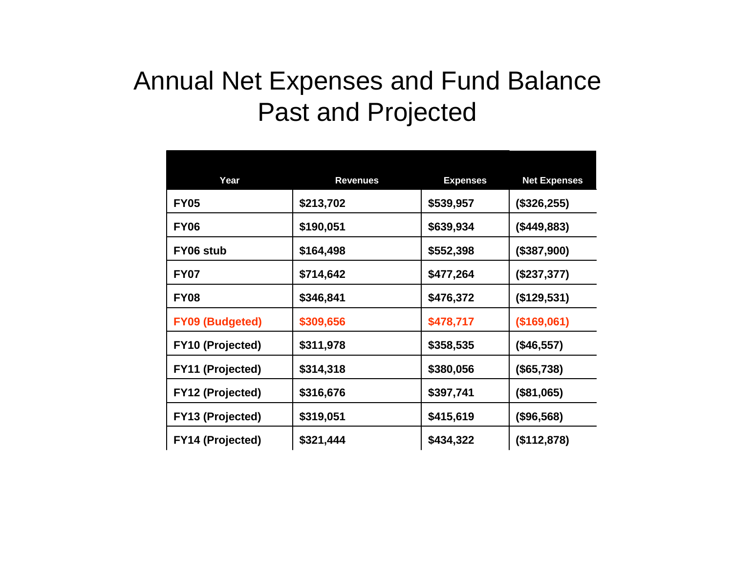#### Annual Net Expenses and Fund Balance Past and Projected

| Year                    | <b>Revenues</b> | <b>Expenses</b> | <b>Net Expenses</b> |
|-------------------------|-----------------|-----------------|---------------------|
| <b>FY05</b>             | \$213,702       | \$539,957       | (\$326,255)         |
| <b>FY06</b>             | \$190,051       | \$639,934       | (\$449,883)         |
| FY06 stub               | \$164,498       | \$552,398       | (\$387,900)         |
| <b>FY07</b>             | \$714,642       | \$477,264       | $(\$237,377)$       |
| <b>FY08</b>             | \$346,841       | \$476,372       | (\$129,531)         |
| <b>FY09 (Budgeted)</b>  | \$309,656       | \$478,717       | (\$169,061)         |
| <b>FY10 (Projected)</b> | \$311,978       | \$358,535       | (\$46,557)          |
| <b>FY11 (Projected)</b> | \$314,318       | \$380,056       | (\$65,738)          |
| <b>FY12 (Projected)</b> | \$316,676       | \$397,741       | (\$81,065)          |
| <b>FY13 (Projected)</b> | \$319,051       | \$415,619       | (\$96,568)          |
| <b>FY14 (Projected)</b> | \$321,444       | \$434,322       | $($ \$112,878)      |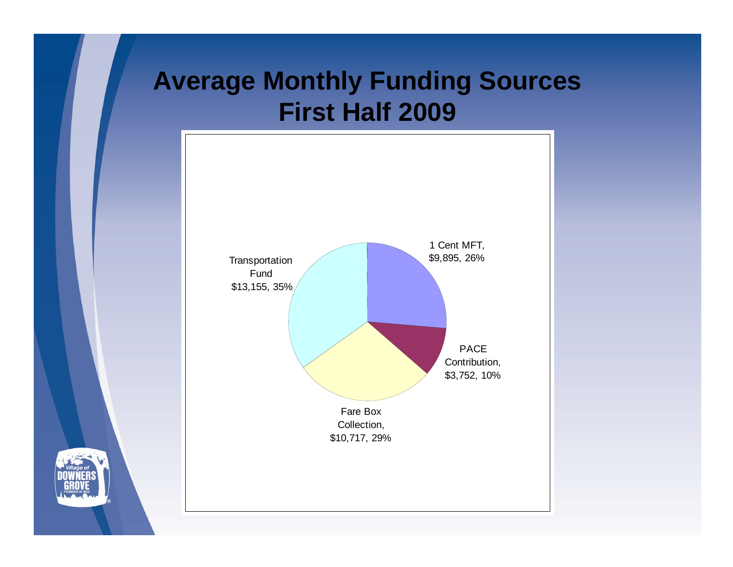### **Average Monthly Funding Sources First Half 2009**

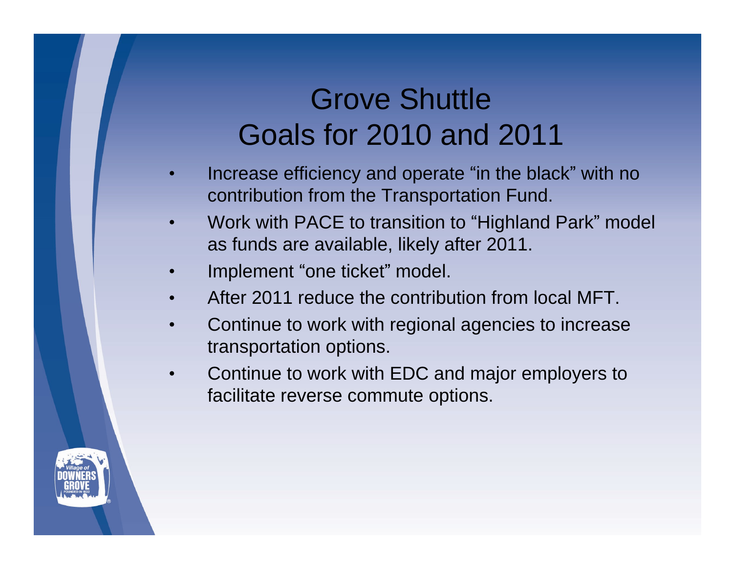## Grove Shuttle Goals for 2010 and 2011

- Increase efficiency and operate "in the black" with no contribution from the Transportation Fund.
- Work with PACE to transition to "Highland Park" model as funds are available, likely after 2011.
- Implement "one ticket" model.
- After 2011 reduce the contribution from local MFT.  $\bullet$
- Continue to work with regional agencies to increase  $\bullet$ transportation options.
- Continue to work with EDC and major employers to facilitate reverse commute options.

![](_page_11_Picture_7.jpeg)